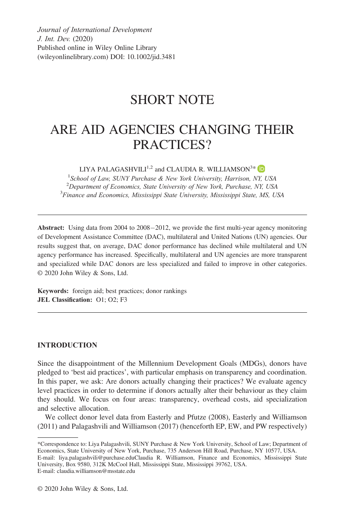*Journal of International Development J. Int. Dev.* (2020) Published online in Wiley Online Library (wileyonlinelibrary.com) DOI: 10.1002/jid.3481

## SHORT NOTE

# ARE AID AGENCIES CHANGING THEIR PRACTICES?

LIYA PALAGASHVILI $^{1,2}$  and CLAUDIA R. WILLIAMSON<sup>3\*</sup>

1 *School of Law, SUNY Purchase & New York University, Harrison, NY, USA* <sup>2</sup> Department of Economics, State University of New York, Purchase, NY, USA<sup>3</sup> Einance and Economics, Mississippi State *Injugration* Mississippi *Finance and Economics, Mississippi State University, Mississippi State, MS, USA*

**Abstract:** Using data from 2004 to 2008–2012, we provide the first multi-year agency monitoring of Development Assistance Committee (DAC), multilateral and United Nations (UN) agencies. Our results suggest that, on average, DAC donor performance has declined while multilateral and UN agency performance has increased. Specifically, multilateral and UN agencies are more transparent and specialized while DAC donors are less specialized and failed to improve in other categories. © 2020 John Wiley & Sons, Ltd.

**Keywords:** foreign aid; best practices; donor rankings **JEL Classification:** O1; O2; F3

## **INTRODUCTION**

Since the disappointment of the Millennium Development Goals (MDGs), donors have pledged to 'best aid practices', with particular emphasis on transparency and coordination. In this paper, we ask: Are donors actually changing their practices? We evaluate agency level practices in order to determine if donors actually alter their behaviour as they claim they should. We focus on four areas: transparency, overhead costs, aid specialization and selective allocation.

We collect donor level data from Easterly and Pfutze (2008), Easterly and Williamson (2011) and Palagashvili and Williamson (2017) (henceforth EP, EW, and PW respectively)

<sup>\*</sup>Correspondence to: Liya Palagashvili, SUNY Purchase & New York University, School of Law; Department of Economics, State University of New York, Purchase, 735 Anderson Hill Road, Purchase, NY 10577, USA. E-mail: [liya.palagashvili@purchase.edu](mailto:liya.palagashvili@purchase.edu)Claudia R. Williamson, Finance and Economics, Mississippi State University, Box 9580, 312K McCool Hall, Mississippi State, Mississippi 39762, USA. E-mail: [claudia.williamson@msstate.edu](mailto:claudia.williamson@msstate.edu)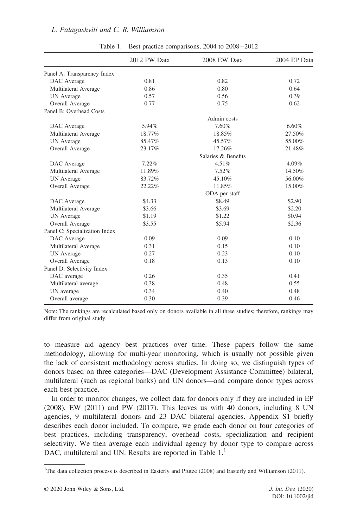|                               | 2012 PW Data        | 2008 EW Data  | 2004 EP Data |  |  |
|-------------------------------|---------------------|---------------|--------------|--|--|
| Panel A: Transparency Index   |                     |               |              |  |  |
| DAC Average                   | 0.81                | 0.82          | 0.72         |  |  |
| Multilateral Average          | 0.86                | 0.80          | 0.64         |  |  |
| <b>UN</b> Average             | 0.57                | 0.56          | 0.39         |  |  |
| Overall Average               | 0.77                | 0.75          | 0.62         |  |  |
| Panel B: Overhead Costs       |                     |               |              |  |  |
|                               |                     | Admin costs   |              |  |  |
| DAC Average                   | 5.94%               | 7.60%         | 6.60%        |  |  |
| Multilateral Average          | 18.77%              | 18.85%        | 27.50%       |  |  |
| <b>UN</b> Average             | 85.47%              | 45.57%        | 55.00%       |  |  |
| Overall Average               | 23.17%              | 17.26%        | 21.48%       |  |  |
|                               | Salaries & Benefits |               |              |  |  |
| DAC Average                   | 7.22%               | 4.51%         | 4.09%        |  |  |
| Multilateral Average          | 11.89%              | 7.52%         | 14.50%       |  |  |
| <b>UN</b> Average             | 83.72%              | 45.10%        | 56.00%       |  |  |
| Overall Average               | 22.22%              | 11.85%        | 15.00%       |  |  |
|                               |                     | ODA per staff |              |  |  |
| DAC Average                   | \$4.33              | \$8.49        | \$2.90       |  |  |
| Multilateral Average          | \$3.66              | \$3.69        | \$2.20       |  |  |
| <b>UN</b> Average             | \$1.19              | \$1.22        | \$0.94       |  |  |
| Overall Average               | \$3.55              | \$5.94        | \$2.36       |  |  |
| Panel C: Specialization Index |                     |               |              |  |  |
| DAC Average                   | 0.09                | 0.09          | 0.10         |  |  |
| Multilateral Average          | 0.31                | 0.15          | 0.10         |  |  |
| <b>UN</b> Average             | 0.27                | 0.23          | 0.10         |  |  |
| Overall Average               | 0.18                | 0.13          | 0.10         |  |  |
| Panel D: Selectivity Index    |                     |               |              |  |  |
| DAC average                   | 0.26                | 0.35          | 0.41         |  |  |
| Multilateral average          | 0.38                | 0.48          | 0.55         |  |  |
| UN average                    | 0.34                | 0.40          | 0.48         |  |  |
| Overall average               | 0.30                | 0.39          | 0.46         |  |  |

#### *L. Palagashvili and C. R. Williamson*

Table 1. Best practice comparisons,  $2004$  to  $2008-2012$ 

Note: The rankings are recalculated based only on donors available in all three studies; therefore, rankings may differ from original study.

to measure aid agency best practices over time. These papers follow the same methodology, allowing for multi-year monitoring, which is usually not possible given the lack of consistent methodology across studies. In doing so, we distinguish types of donors based on three categories—DAC (Development Assistance Committee) bilateral, multilateral (such as regional banks) and UN donors—and compare donor types across each best practice.

In order to monitor changes, we collect data for donors only if they are included in EP (2008), EW (2011) and PW (2017). This leaves us with 40 donors, including 8 UN agencies, 9 multilateral donors and 23 DAC bilateral agencies. Appendix S1 briefly describes each donor included. To compare, we grade each donor on four categories of best practices, including transparency, overhead costs, specialization and recipient selectivity. We then average each individual agency by donor type to compare across DAC, multilateral and UN. Results are reported in Table 1.<sup>1</sup>

<sup>&</sup>lt;sup>1</sup>The data collection process is described in Easterly and Pfutze (2008) and Easterly and Williamson (2011).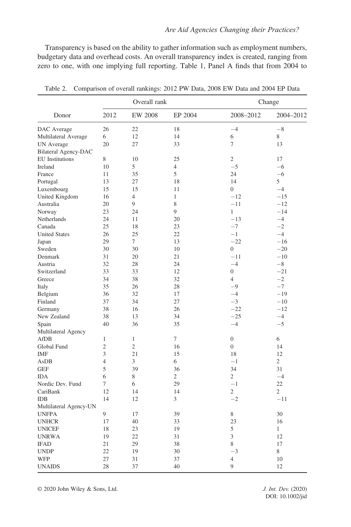Transparency is based on the ability to gather information such as employment numbers, budgetary data and overhead costs. An overall transparency index is created, ranging from zero to one, with one implying full reporting. Table 1, Panel A finds that from 2004 to

| Donor                       | Overall rank   |                |              | Change           |                |
|-----------------------------|----------------|----------------|--------------|------------------|----------------|
|                             | 2012           | EW 2008        | EP 2004      | 2008-2012        | 2004-2012      |
| DAC Average                 | 26             | 22             | 18           | $-4$             | $-8$           |
| Multilateral Average        | 6              | 12             | 14           | 6                | 8              |
| <b>UN</b> Average           | 20             | 27             | 33           | 7                | 13             |
| <b>Bilateral Agency-DAC</b> |                |                |              |                  |                |
| <b>EU</b> Institutions      | 8              | 10             | 25           | 2                | 17             |
| Ireland                     | 10             | 5              | 4            | $-5$             | $-6$           |
| France                      | 11             | 35             | 5            | 24               | $-6$           |
| Portugal                    | 13             | 27             | 18           | 14               | 5              |
| Luxembourg                  | 15             | 15             | 11           | $\mathbf{0}$     | $-4$           |
| United Kingdom              | 16             | $\overline{4}$ | $\mathbf{1}$ | $-12$            | $-15$          |
| Australia                   | 20             | 9              | 8            | $-11$            | $-12$          |
| Norway                      | 23             | 24             | 9            | $\mathbf{1}$     | $-14$          |
| Netherlands                 | 24             | 11             | 20           | $-13$            | $-4$           |
| Canada                      | 25             | 18             | 23           | $-7$             | $-2$           |
| <b>United States</b>        | 26             | 25             | 22           | $-1$             | $-4$           |
| Japan                       | 29             | $\tau$         | 13           | $-22$            | $-16$          |
| Sweden                      | 30             | 30             | 10           | $\mathbf{0}$     | $-20$          |
| Denmark                     | 31             | 20             | 21           | $-11$            | $-10$          |
| Austria                     | 32             | 28             | 24           | $-4$             | $-8$           |
| Switzerland                 | 33             | 33             | 12           | $\boldsymbol{0}$ | $-21$          |
| Greece                      | 34             | 38             | 32           | $\overline{4}$   | $-2$           |
| Italy                       | 35             | 26             | 28           | $-9$             | $-7$           |
| Belgium                     | 36             | 32             | 17           | $-4$             | $-19$          |
| Finland                     | 37             | 34             | 27           | $-3$             | $-10$          |
| Germany                     | 38             | 16             | 26           | $-22$            | $-12$          |
| New Zealand                 | 38             | 13             | 34           | $-25$            | $-4$           |
| Spain                       | 40             | 36             | 35           | $-4$             | $-5$           |
| Multilateral Agency         |                |                |              |                  |                |
| AfDB                        | $\mathbf{1}$   | $\mathbf{1}$   | 7            | $\mathbf{0}$     | 6              |
| Global Fund                 | $\mathfrak{2}$ | $\mathfrak{2}$ | 16           | $\boldsymbol{0}$ | 14             |
| <b>IMF</b>                  | 3              | 21             | 15           | 18               | 12             |
| AsDB                        | $\overline{4}$ | 3              | 6            | $-1$             | $\overline{2}$ |
| <b>GEF</b>                  | 5              | 39             | 36           | 34               | 31             |
| <b>IDA</b>                  | 6              | 8              | 2            | $\overline{2}$   | $-4$           |
| Nordic Dev. Fund            | 7              | 6              | 29           | $-1$             | 22             |
| CariBank                    | 12             | 14             | 14           | $\overline{c}$   | $\overline{2}$ |
| <b>IDB</b>                  | 14             | 12             | 3            | $-2$             | $-11$          |
| Multilateral Agency-UN      |                |                |              |                  |                |
| <b>UNFPA</b>                | 9              | 17             | 39           | 8                | 30             |
| <b>UNHCR</b>                | 17             | 40             | 33           | 23               | 16             |
| <b>UNICEF</b>               | 18             | 23             | 19           | 5                | $\mathbf{1}$   |
| <b>UNRWA</b>                | 19             | 22             | 31           | 3                | 12             |
| <b>IFAD</b>                 | 21             | 29             | 38           | 8                | 17             |
| <b>UNDP</b>                 | 22             | 19             | 30           | $-3$             | 8              |
| WFP                         | 27             | 31             | 37           | $\overline{4}$   | 10             |
| <b>UNAIDS</b>               | 28             | 37             | 40           | 9                | 12             |

Table 2. Comparison of overall rankings: 2012 PW Data, 2008 EW Data and 2004 EP Data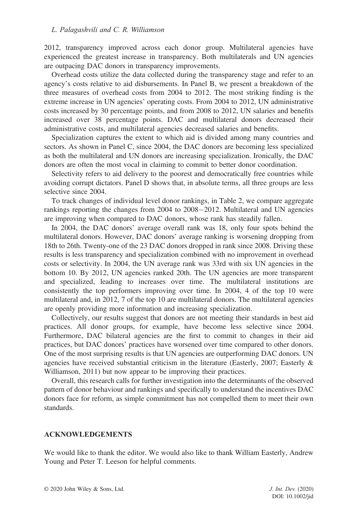#### *L. Palagashvili and C. R. Williamson*

2012, transparency improved across each donor group. Multilateral agencies have experienced the greatest increase in transparency. Both multilaterals and UN agencies are outpacing DAC donors in transparency improvements.

Overhead costs utilize the data collected during the transparency stage and refer to an agency's costs relative to aid disbursements. In Panel B, we present a breakdown of the three measures of overhead costs from 2004 to 2012. The most striking finding is the extreme increase in UN agencies' operating costs. From 2004 to 2012, UN administrative costs increased by 30 percentage points, and from 2008 to 2012, UN salaries and benefits increased over 38 percentage points. DAC and multilateral donors decreased their administrative costs, and multilateral agencies decreased salaries and benefits.

Specialization captures the extent to which aid is divided among many countries and sectors. As shown in Panel C, since 2004, the DAC donors are becoming less specialized as both the multilateral and UN donors are increasing specialization. Ironically, the DAC donors are often the most vocal in claiming to commit to better donor coordination.

Selectivity refers to aid delivery to the poorest and democratically free countries while avoiding corrupt dictators. Panel D shows that, in absolute terms, all three groups are less selective since 2004.

To track changes of individual level donor rankings, in Table 2, we compare aggregate rankings reporting the changes from  $2004$  to  $2008-2012$ . Multilateral and UN agencies are improving when compared to DAC donors, whose rank has steadily fallen.

In 2004, the DAC donors' average overall rank was 18, only four spots behind the multilateral donors. However, DAC donors' average ranking is worsening dropping from 18th to 26th. Twenty-one of the 23 DAC donors dropped in rank since 2008. Driving these results is less transparency and specialization combined with no improvement in overhead costs or selectivity. In 2004, the UN average rank was 33rd with six UN agencies in the bottom 10. By 2012, UN agencies ranked 20th. The UN agencies are more transparent and specialized, leading to increases over time. The multilateral institutions are consistently the top performers improving over time. In 2004, 4 of the top 10 were multilateral and, in 2012, 7 of the top 10 are multilateral donors. The multilateral agencies are openly providing more information and increasing specialization.

Collectively, our results suggest that donors are not meeting their standards in best aid practices. All donor groups, for example, have become less selective since 2004. Furthermore, DAC bilateral agencies are the first to commit to changes in their aid practices, but DAC donors' practices have worsened over time compared to other donors. One of the most surprising results is that UN agencies are outperforming DAC donors. UN agencies have received substantial criticism in the literature (Easterly, 2007; Easterly  $\&$ Williamson, 2011) but now appear to be improving their practices.

Overall, this research calls for further investigation into the determinants of the observed pattern of donor behaviour and rankings and specifically to understand the incentives DAC donors face for reform, as simple commitment has not compelled them to meet their own standards.

#### **ACKNOWLEDGEMENTS**

We would like to thank the editor. We would also like to thank William Easterly, Andrew Young and Peter T. Leeson for helpful comments.